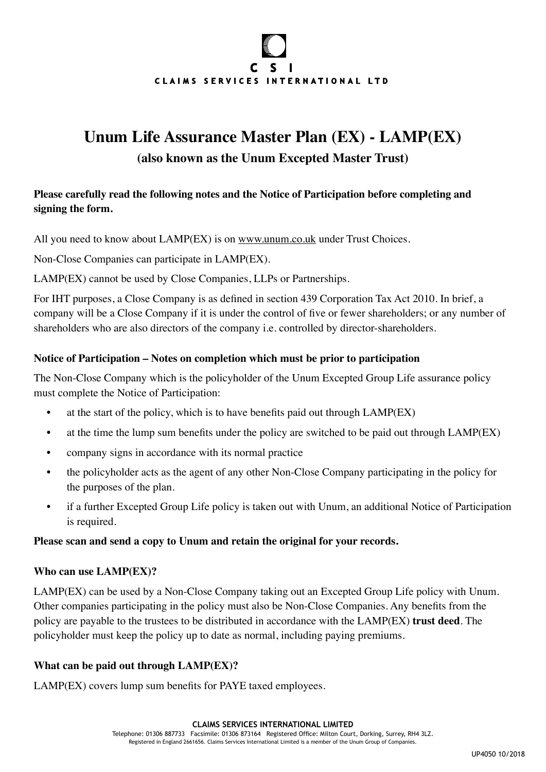# $\mathbf{C}$  $\mathbf{S}$ CLAIMS SERVICES INTERNATIONAL LTD

# **Unum Life Assurance Master Plan (EX) - LAMP(EX)**

## **(also known as the Unum Excepted Master Trust)**

### **Please carefully read the following notes and the Notice of Participation before completing and signing the form.**

All you need to know about LAMP(EX) is on [www.unum.co.uk](https://www.unum.co.uk) under Trust Choices.

Non-Close Companies can participate in LAMP(EX).

LAMP(EX) cannot be used by Close Companies, LLPs or Partnerships.

For IHT purposes, a Close Company is as defined in section 439 Corporation Tax Act 2010. In brief, a company will be a Close Company if it is under the control of five or fewer shareholders; or any number of shareholders who are also directors of the company i.e. controlled by director-shareholders.

#### **Notice of Participation – Notes on completion which must be prior to participation**

The Non-Close Company which is the policyholder of the Unum Excepted Group Life assurance policy must complete the Notice of Participation:

- at the start of the policy, which is to have benefits paid out through LAMP(EX)
- at the time the lump sum benefits under the policy are switched to be paid out through LAMP(EX)
- company signs in accordance with its normal practice
- the policyholder acts as the agent of any other Non-Close Company participating in the policy for the purposes of the plan.
- if a further Excepted Group Life policy is taken out with Unum, an additional Notice of Participation is required.

#### **Please scan and send a copy to Unum and retain the original for your records.**

#### **Who can use LAMP(EX)?**

LAMP(EX) can be used by a Non-Close Company taking out an Excepted Group Life policy with Unum. Other companies participating in the policy must also be Non-Close Companies. Any benefits from the policy are payable to the trustees to be distributed in accordance with the LAMP(EX) **trust deed**. The policyholder must keep the policy up to date as normal, including paying premiums.

#### **What can be paid out through LAMP(EX)?**

LAMP(EX) covers lump sum benefits for PAYE taxed employees.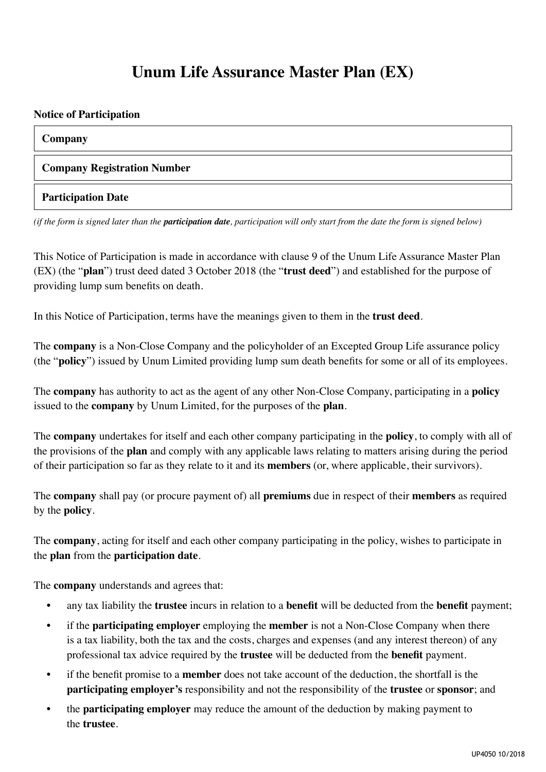## **Unum Life Assurance Master Plan (EX)**

#### **Notice of Participation**

#### **Company**

#### **Company Registration Number**

#### **Participation Date**

*(if the form is signed later than the participation date, participation will only start from the date the form is signed below)*

This Notice of Participation is made in accordance with clause 9 of the Unum Life Assurance Master Plan (EX) (the "**plan**") trust deed dated 3 October 2018 (the "**trust deed**") and established for the purpose of providing lump sum benefits on death.

In this Notice of Participation, terms have the meanings given to them in the **trust deed**.

The **company** is a Non-Close Company and the policyholder of an Excepted Group Life assurance policy (the "**policy**") issued by Unum Limited providing lump sum death benefits for some or all of its employees.

The **company** has authority to act as the agent of any other Non-Close Company, participating in a **policy** issued to the **company** by Unum Limited, for the purposes of the **plan**.

The **company** undertakes for itself and each other company participating in the **policy**, to comply with all of the provisions of the **plan** and comply with any applicable laws relating to matters arising during the period of their participation so far as they relate to it and its **members** (or, where applicable, their survivors).

The **company** shall pay (or procure payment of) all **premiums** due in respect of their **members** as required by the **policy**.

The **company**, acting for itself and each other company participating in the policy, wishes to participate in the **plan** from the **participation date**.

The **company** understands and agrees that:

- any tax liability the **trustee** incurs in relation to a **benefit** will be deducted from the **benefit** payment;
- if the **participating employer** employing the **member** is not a Non-Close Company when there is a tax liability, both the tax and the costs, charges and expenses (and any interest thereon) of any professional tax advice required by the **trustee** will be deducted from the **benefit** payment.
- if the benefit promise to a **member** does not take account of the deduction, the shortfall is the **participating employer's** responsibility and not the responsibility of the **trustee** or **sponsor**; and
- the **participating employer** may reduce the amount of the deduction by making payment to the **trustee**.